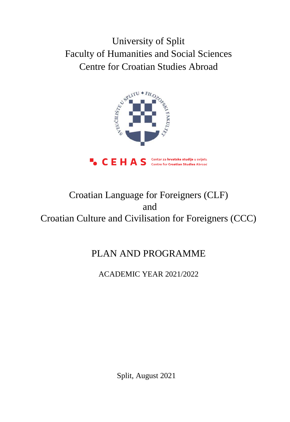University of Split Faculty of Humanities and Social Sciences Centre for Croatian Studies Abroad



# Croatian Language for Foreigners (CLF) and Croatian Culture and Civilisation for Foreigners (CCC)

# PLAN AND PROGRAMME

ACADEMIC YEAR 2021/2022

Split, August 2021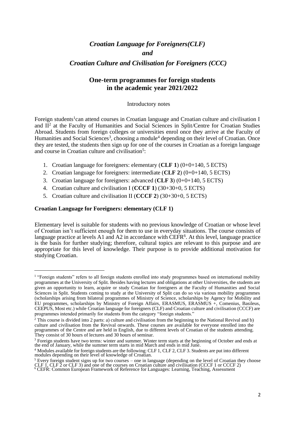# *Croatian Language for Foreigners(CLF) and*

# *Croatian Culture and Civilisation for Foreigners (CCC)*

# **One-term programmes for foreign students in the academic year 2021/2022**

#### Introductory notes

Foreign students<sup>1</sup> can attend courses in Croatian language and Croatian culture and civilisation I and II<sup>2</sup> at the Faculty of Humanities and Social Sciences in Split/Centre for Croatian Studies Abroad. Students from foreign colleges or universities enrol once they arrive at the Faculty of Humanities and Social Sciences<sup>3</sup>, choosing a module<sup>4</sup> depending on their level of Croatian. Once they are tested, the students then sign up for one of the courses in Croatian as a foreign language and course in Croatian culture and civilisation<sup>5</sup>:

- 1. Croatian language for foreigners: elementary (**CLF 1**) (0+0+140, 5 ECTS)
- 2. Croatian language for foreigners: intermediate (**CLF 2**) (0+0+140, 5 ECTS)
- 3. Croatian language for foreigners: advanced (**CLF 3**) (0+0+140, 5 ECTS)
- 4. Croatian culture and civilisation I (**CCCF 1**) (30+30+0, 5 ECTS)
- 5. Croatian culture and civilisation II (**CCCF 2**) (30+30+0, 5 ECTS)

#### **Croatian Language for Foreigners: elementary (CLF 1)**

Elementary level is suitable for students with no previous knowledge of Croatian or whose level of Croatian isn't sufficient enough for them to use in everyday situations. The course consists of language practice at levels A1 and A2 in accordance with  $CEFR<sup>6</sup>$ . At this level, language practice is the basis for further studying; therefore, cultural topics are relevant to this purpose and are appropriate for this level of knowledge. Their purpose is to provide additional motivation for studying Croatian.

<sup>&</sup>lt;sup>1</sup> "Foreign students" refers to all foreign students enrolled into study programmes based on international mobility programmes at the University of Split. Besides having lectures and obligations at other Universities, the students are given an opportunity to learn, acquire or study Croatian for foreigners at the Faculty of Humanities and Social Sciences in Split. Students coming to study at the University of Split can do so via various mobility programmes (scholarships arising from bilateral programmes of Ministry of Science, scholarships by Agency for Mobility and EU programmes, scholarships by Ministry of Foreign Affairs, ERASMUS, ERASMUS +, Comenius, Basileus, CEEPUS, Most etc.) while Croatian language for foreigners (CLF) and Croatian culture and civilisation (CCCF) are programmes intended primarily for students from the category "foreign students."

<sup>&</sup>lt;sup>2</sup> This course is divided into 2 parts: a) culture and civilisation from the beginning to the National Revival and b) culture and civilisation from the Revival onwards. These courses are available for everyone enrolled into the programmes of the Centre and are held in English, due to different levels of Croatian of the students attending. They consist of 30 hours of lectures and 30 hours of seminar.

 $3$  Foreign students have two terms: winter and summer. Winter term starts at the beginning of October and ends at the end of January, while the summer term starts in mid March and ends in mid June.

<sup>4</sup> Modules available for foreign students are the following: CLF 1, CLF 2, CLF 3. Students are put into different modules depending on their level of knowledge of Croatian.

 $<sup>5</sup>$  Every foreign student signs up for two courses – one in language (depending on the level of Croatian they choose</sup> CLF 1, CLF 2 or CLF 3) and one of the courses on Croatian culture and civilisation (CCCF 1 or CCCF 2)

<sup>&</sup>lt;sup>6</sup> CEFR: Common European Framework of Reference for Languages: Learning, Teaching, Assessment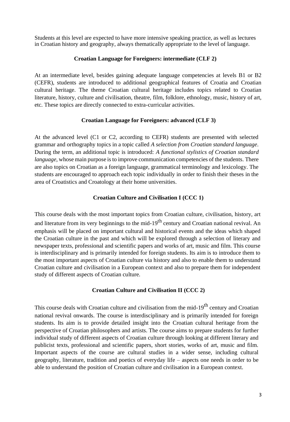Students at this level are expected to have more intensive speaking practice, as well as lectures in Croatian history and geography, always thematically appropriate to the level of language.

#### **Croatian Language for Foreigners: intermediate (CLF 2)**

At an intermediate level, besides gaining adequate language competencies at levels B1 or B2 (CEFR), students are introduced to additional geographical features of Croatia and Croatian cultural heritage. The theme Croatian cultural heritage includes topics related to Croatian literature, history, culture and civilisation, theatre, film, folklore, ethnology, music, history of art, etc. These topics are directly connected to extra-curricular activities.

#### **Croatian Language for Foreigners: advanced (CLF 3)**

At the advanced level (C1 or C2, according to CEFR) students are presented with selected grammar and orthography topics in a topic called *A selection from Croatian standard language*. During the term, an additional topic is introduced: *A functional stylistics of Croatian standard language*, whose main purpose is to improve communication competencies of the students. There are also topics on Croatian as a foreign language, grammatical terminology and lexicology. The students are encouraged to approach each topic individually in order to finish their theses in the area of Croatistics and Croatology at their home universities.

# **Croatian Culture and Civilisation I (CCC 1)**

This course deals with the most important topics from Croatian culture, civilisation, history, art and literature from its very beginnings to the mid-19<sup>th</sup> century and Croatian national revival. An emphasis will be placed on important cultural and historical events and the ideas which shaped the Croatian culture in the past and which will be explored through a selection of literary and newspaper texts, professional and scientific papers and works of art, music and film. This course is interdisciplinary and is primarily intended for foreign students. Its aim is to introduce them to the most important aspects of Croatian culture via history and also to enable them to understand Croatian culture and civilisation in a European context and also to prepare them for independent study of different aspects of Croatian culture.

#### **Croatian Culture and Civilisation II (CCC 2)**

This course deals with Croatian culture and civilisation from the mid-19<sup>th</sup> century and Croatian national revival onwards. The course is interdisciplinary and is primarily intended for foreign students. Its aim is to provide detailed insight into the Croatian cultural heritage from the perspective of Croatian philosophers and artists. The course aims to prepare students for further individual study of different aspects of Croatian culture through looking at different literary and publicist texts, professional and scientific papers, short stories, works of art, music and film. Important aspects of the course are cultural studies in a wider sense, including cultural geography, literature, tradition and poetics of everyday life – aspects one needs in order to be able to understand the position of Croatian culture and civilisation in a European context.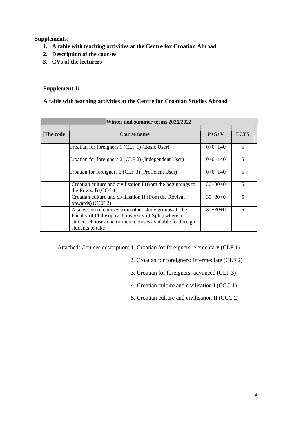**Supplements**:

- **1. A table with teaching activities at the Centre for Croatian Abroad**
- **2. Description of the courses**
- **3. CVs of the lecturers**

#### **Supplement 1:**

#### **A table with teaching activities at the Centre for Croatian Studies Abroad**

| $\alpha$ ince and summer terms $2021/2022$ |                                                                                                                                                                                               |             |                         |
|--------------------------------------------|-----------------------------------------------------------------------------------------------------------------------------------------------------------------------------------------------|-------------|-------------------------|
|                                            |                                                                                                                                                                                               |             |                         |
| The code                                   | Course name                                                                                                                                                                                   | $P + S + V$ | <b>ECTS</b>             |
|                                            |                                                                                                                                                                                               |             |                         |
|                                            | Croatian for foreigners 1 (CLF 1) (Basic User)                                                                                                                                                | $0+0+140$   | 5                       |
|                                            | Croatian for foreigners 2 (CLF 2) (Independent User)                                                                                                                                          | $0+0+140$   | $\overline{\mathbf{5}}$ |
|                                            | Croatian for foreigners 3 (CLF 3) (Proficient User)                                                                                                                                           | $0+0+140$   | 5                       |
|                                            | Croatian culture and civilisation I (from the beginnings to<br>the Revival) $(CCC 1)$                                                                                                         | $30+30+0$   | 5                       |
|                                            | Croatian culture and civilisation II (from the Revival<br>onwards) (CCC 2)                                                                                                                    | $30+30+0$   | 5                       |
|                                            | A selection of courses from other study groups at The<br>Faculty of Philosophy (University of Split) where a<br>student chooses one or more courses available for foreign<br>students to take | $30+30+0$   | 5                       |

# **Winter and summer terms 2021/2022**

Attached: Courses description: 1. Croatian for foreigners: elementary (CLF 1)

- 2. Croatian for foreigners: intermediate (CLF 2)
- 3. Croatian for foreigners: advanced (CLF 3)
- 4. Croatian culture and civilisation I (CCC 1)
- 5. Croatian culture and civilisation II (CCC 2)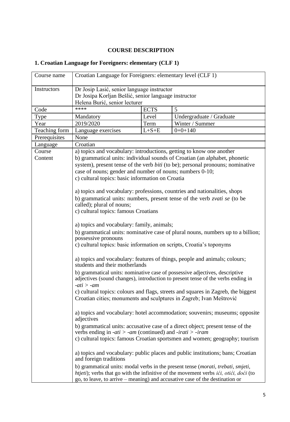# **COURSE DESCRIPTION**

# **1. Croatian Language for Foreigners: elementary (CLF 1)**

| Course name        | Croatian Language for Foreigners: elementary level (CLF 1)                                                                                                                                                                                                                                                                                                                                                                                                                                                                                                                                                                                                                                                                                                                                                                                                                                                                                                                                                                    |             |                                                                                                                                                                                                                                                                  |
|--------------------|-------------------------------------------------------------------------------------------------------------------------------------------------------------------------------------------------------------------------------------------------------------------------------------------------------------------------------------------------------------------------------------------------------------------------------------------------------------------------------------------------------------------------------------------------------------------------------------------------------------------------------------------------------------------------------------------------------------------------------------------------------------------------------------------------------------------------------------------------------------------------------------------------------------------------------------------------------------------------------------------------------------------------------|-------------|------------------------------------------------------------------------------------------------------------------------------------------------------------------------------------------------------------------------------------------------------------------|
| <b>Instructors</b> | Dr Josip Lasić, senior language instructor                                                                                                                                                                                                                                                                                                                                                                                                                                                                                                                                                                                                                                                                                                                                                                                                                                                                                                                                                                                    |             |                                                                                                                                                                                                                                                                  |
|                    | Dr Josipa Korljan Bešlić, senior language instructor                                                                                                                                                                                                                                                                                                                                                                                                                                                                                                                                                                                                                                                                                                                                                                                                                                                                                                                                                                          |             |                                                                                                                                                                                                                                                                  |
|                    | Helena Burić, senior lecturer                                                                                                                                                                                                                                                                                                                                                                                                                                                                                                                                                                                                                                                                                                                                                                                                                                                                                                                                                                                                 |             |                                                                                                                                                                                                                                                                  |
| Code               | ****                                                                                                                                                                                                                                                                                                                                                                                                                                                                                                                                                                                                                                                                                                                                                                                                                                                                                                                                                                                                                          | <b>ECTS</b> | 5                                                                                                                                                                                                                                                                |
| Type               | Mandatory                                                                                                                                                                                                                                                                                                                                                                                                                                                                                                                                                                                                                                                                                                                                                                                                                                                                                                                                                                                                                     | Level       | Undergraduate / Graduate                                                                                                                                                                                                                                         |
| Year               | 2019/2020                                                                                                                                                                                                                                                                                                                                                                                                                                                                                                                                                                                                                                                                                                                                                                                                                                                                                                                                                                                                                     | Term        | Winter / Summer                                                                                                                                                                                                                                                  |
| Teaching form      | Language exercises                                                                                                                                                                                                                                                                                                                                                                                                                                                                                                                                                                                                                                                                                                                                                                                                                                                                                                                                                                                                            | $L + S + E$ | $0+0+140$                                                                                                                                                                                                                                                        |
| Prerequisites      | None                                                                                                                                                                                                                                                                                                                                                                                                                                                                                                                                                                                                                                                                                                                                                                                                                                                                                                                                                                                                                          |             |                                                                                                                                                                                                                                                                  |
| Language           |                                                                                                                                                                                                                                                                                                                                                                                                                                                                                                                                                                                                                                                                                                                                                                                                                                                                                                                                                                                                                               |             |                                                                                                                                                                                                                                                                  |
| Course<br>Content  | Croatian<br>a) topics and vocabulary: introductions, getting to know one another<br>b) grammatical units: individual sounds of Croatian (an alphabet, phonetic<br>system), present tense of the verb biti (to be); personal pronouns; nominative<br>case of nouns; gender and number of nouns; numbers 0-10;<br>c) cultural topics: basic information on Croatia<br>a) topics and vocabulary: professions, countries and nationalities, shops<br>b) grammatical units: numbers, present tense of the verb zvati se (to be<br>called); plural of nouns;<br>c) cultural topics: famous Croatians<br>a) topics and vocabulary: family, animals;<br>b) grammatical units: nominative case of plural nouns, numbers up to a billion;<br>possessive pronouns<br>c) cultural topics: basic information on scripts, Croatia's toponyms<br>a) topics and vocabulary: features of things, people and animals; colours;<br>students and their motherlands<br>b) grammatical units: nominative case of possessive adjectives, descriptive |             |                                                                                                                                                                                                                                                                  |
|                    | $-ati$ > $-am$<br>Croatian cities; monuments and sculptures in Zagreb; Ivan Meštrović                                                                                                                                                                                                                                                                                                                                                                                                                                                                                                                                                                                                                                                                                                                                                                                                                                                                                                                                         |             | c) cultural topics: colours and flags, streets and squares in Zagreb, the biggest                                                                                                                                                                                |
|                    | adjectives                                                                                                                                                                                                                                                                                                                                                                                                                                                                                                                                                                                                                                                                                                                                                                                                                                                                                                                                                                                                                    |             | a) topics and vocabulary: hotel accommodation; souvenirs; museums; opposite                                                                                                                                                                                      |
|                    | verbs ending in <i>-ati</i> > <i>-am</i> (continued) and <i>-irati</i> > <i>-iram</i>                                                                                                                                                                                                                                                                                                                                                                                                                                                                                                                                                                                                                                                                                                                                                                                                                                                                                                                                         |             | b) grammatical units: accusative case of a direct object; present tense of the                                                                                                                                                                                   |
|                    |                                                                                                                                                                                                                                                                                                                                                                                                                                                                                                                                                                                                                                                                                                                                                                                                                                                                                                                                                                                                                               |             | c) cultural topics: famous Croatian sportsmen and women; geography; tourism                                                                                                                                                                                      |
|                    | and foreign traditions                                                                                                                                                                                                                                                                                                                                                                                                                                                                                                                                                                                                                                                                                                                                                                                                                                                                                                                                                                                                        |             | a) topics and vocabulary: public places and public institutions; bans; Croatian                                                                                                                                                                                  |
|                    |                                                                                                                                                                                                                                                                                                                                                                                                                                                                                                                                                                                                                                                                                                                                                                                                                                                                                                                                                                                                                               |             | b) grammatical units: modal verbs in the present tense (morati, trebati, smjeti,<br>htjeti); verbs that go with the infinitive of the movement verbs <i>ići, otići, doći</i> (to<br>go, to leave, to arrive – meaning) and accusative case of the destination or |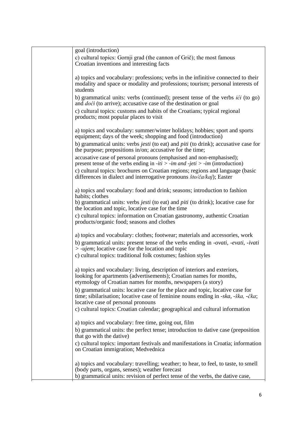| goal (introduction)                                                                                                                                                                                                                                                                                                                                                                                                                                                                                      |
|----------------------------------------------------------------------------------------------------------------------------------------------------------------------------------------------------------------------------------------------------------------------------------------------------------------------------------------------------------------------------------------------------------------------------------------------------------------------------------------------------------|
| c) cultural topics: Gornji grad (the cannon of Grič); the most famous<br>Croatian inventions and interesting facts                                                                                                                                                                                                                                                                                                                                                                                       |
| a) topics and vocabulary: professions; verbs in the infinitive connected to their<br>modality and space or modality and professions; tourism; personal interests of<br>students                                                                                                                                                                                                                                                                                                                          |
| b) grammatical units: verbs (continued); present tense of the verbs <i>ići</i> (to go)<br>and <i>doći</i> (to arrive); accusative case of the destination or goal                                                                                                                                                                                                                                                                                                                                        |
| c) cultural topics: customs and habits of the Croatians; typical regional<br>products; most popular places to visit                                                                                                                                                                                                                                                                                                                                                                                      |
| a) topics and vocabulary: summer/winter holidays; hobbies; sport and sports<br>equipment; days of the week; shopping and food (introduction)                                                                                                                                                                                                                                                                                                                                                             |
| b) grammatical units: verbs <i>jesti</i> (to eat) and <i>piti</i> (to drink); accusative case for<br>the purpose; prepositions in/on; accusative for the time;                                                                                                                                                                                                                                                                                                                                           |
| accusative case of personal pronouns (emphasised and non-emphasised);<br>present tense of the verbs ending in $-iti > -im$ and $-jeti > -im$ (introduction)                                                                                                                                                                                                                                                                                                                                              |
| c) cultural topics: brochures on Croatian regions; regions and language (basic<br>differences in dialect and interrogative pronouns $\frac{\xi}{\alpha}$ / $\frac{\xi}{\alpha}$ / $\frac{\xi}{\alpha}$ / $\frac{\xi}{\alpha}$ / $\frac{\xi}{\alpha}$ / $\frac{\xi}{\alpha}$ / $\frac{\xi}{\alpha}$ / $\frac{\xi}{\alpha}$ / $\frac{\xi}{\alpha}$ / $\frac{\xi}{\alpha}$ / $\frac{\xi}{\alpha}$ / $\frac{\xi}{\alpha}$ / $\frac{\xi}{\alpha}$ / $\frac{\xi}{\alpha}$ / $\frac{\xi}{\alpha}$ / $\frac{\xi$ |
| a) topics and vocabulary: food and drink; seasons; introduction to fashion<br>habits; clothes                                                                                                                                                                                                                                                                                                                                                                                                            |
| b) grammatical units: verbs <i>jesti</i> (to eat) and <i>piti</i> (to drink); locative case for<br>the location and topic, locative case for the time                                                                                                                                                                                                                                                                                                                                                    |
| c) cultural topics: information on Croatian gastronomy, authentic Croatian<br>products/organic food; seasons and clothes                                                                                                                                                                                                                                                                                                                                                                                 |
| a) topics and vocabulary: clothes; footwear; materials and accessories, work                                                                                                                                                                                                                                                                                                                                                                                                                             |
| b) grammatical units: present tense of the verbs ending in -ovati, -evati, -ivati<br>$>$ -ujem; locative case for the location and topic<br>c) cultural topics: traditional folk costumes; fashion styles                                                                                                                                                                                                                                                                                                |
| a) topics and vocabulary: living, description of interiors and exteriors,<br>looking for apartments (advertisements); Croatian names for months,<br>etymology of Croatian names for months, newspapers (a story)                                                                                                                                                                                                                                                                                         |
| b) grammatical units: locative case for the place and topic, locative case for<br>time; sibilarisation; locative case of feminine nouns ending in -ska, -ška, -čka;<br>locative case of personal pronouns                                                                                                                                                                                                                                                                                                |
| c) cultural topics: Croatian calendar; geographical and cultural information                                                                                                                                                                                                                                                                                                                                                                                                                             |
| a) topics and vocabulary: free time, going out, film                                                                                                                                                                                                                                                                                                                                                                                                                                                     |
| b) grammatical units: the perfect tense; introduction to dative case (preposition<br>that go with the dative)                                                                                                                                                                                                                                                                                                                                                                                            |
| c) cultural topics: important festivals and manifestations in Croatia; information<br>on Croatian immigration; Medvednica                                                                                                                                                                                                                                                                                                                                                                                |
| a) topics and vocabulary: travelling; weather; to hear, to feel, to taste, to smell<br>(body parts, organs, senses); weather forecast                                                                                                                                                                                                                                                                                                                                                                    |
| b) grammatical units: revision of perfect tense of the verbs, the dative case,                                                                                                                                                                                                                                                                                                                                                                                                                           |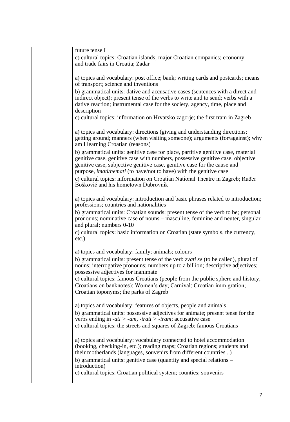| future tense I                                                                                                                                                                                                                                                                                                              |
|-----------------------------------------------------------------------------------------------------------------------------------------------------------------------------------------------------------------------------------------------------------------------------------------------------------------------------|
| c) cultural topics: Croatian islands; major Croatian companies; economy<br>and trade fairs in Croatia; Zadar                                                                                                                                                                                                                |
| a) topics and vocabulary: post office; bank; writing cards and postcards; means<br>of transport; science and inventions                                                                                                                                                                                                     |
| b) grammatical units: dative and accusative cases (sentences with a direct and<br>indirect object); present tense of the verbs to write and to send; verbs with a<br>dative reaction; instrumental case for the society, agency, time, place and<br>description                                                             |
| c) cultural topics: information on Hrvatsko zagorje; the first tram in Zagreb                                                                                                                                                                                                                                               |
| a) topics and vocabulary: directions (giving and understanding directions;<br>getting around; manners (when visiting someone); arguments (for/against); why<br>am I learning Croatian (reasons)                                                                                                                             |
| b) grammatical units: genitive case for place, partitive genitive case, material<br>genitive case, genitive case with numbers, possessive genitive case, objective<br>genitive case, subjective genitive case, genitive case for the cause and<br>purpose, <i>imati/nemati</i> (to have/not to have) with the genitive case |
| c) cultural topics: information on Croatian National Theatre in Zagreb; Ruđer<br>Bošković and his hometown Dubrovnik                                                                                                                                                                                                        |
| a) topics and vocabulary: introduction and basic phrases related to introduction;<br>professions; countries and nationalities                                                                                                                                                                                               |
| b) grammatical units: Croatian sounds; present tense of the verb to be; personal<br>pronouns; nominative case of nouns – masculine, feminine and neuter, singular<br>and plural; numbers 0-10                                                                                                                               |
| c) cultural topics: basic information on Croatian (state symbols, the currency,<br>$etc.$ )                                                                                                                                                                                                                                 |
| a) topics and vocabulary: family; animals; colours                                                                                                                                                                                                                                                                          |
| b) grammatical units: present tense of the verb zvati se (to be called), plural of<br>nouns; interrogative pronouns; numbers up to a billion; descriptive adjectives;<br>possessive adjectives for inanimate                                                                                                                |
| c) cultural topics: famous Croatians (people from the public sphere and history,<br>Croatians on banknotes); Women's day; Carnival; Croatian immigration;<br>Croatian toponyms; the parks of Zagreb                                                                                                                         |
| a) topics and vocabulary: features of objects, people and animals                                                                                                                                                                                                                                                           |
| b) grammatical units: possessive adjectives for animate; present tense for the<br>verbs ending in $-ati > -am$ , $-irati > -iram$ ; accusative case                                                                                                                                                                         |
| c) cultural topics: the streets and squares of Zagreb; famous Croatians                                                                                                                                                                                                                                                     |
| a) topics and vocabulary: vocabulary connected to hotel accommodation<br>(booking, checking-in, etc.); reading maps; Croatian regions; students and<br>their motherlands (languages, souvenirs from different countries)<br>b) grammatical units: genitive case (quantity and special relations –                           |
| introduction)<br>c) cultural topics: Croatian political system; counties; souvenirs                                                                                                                                                                                                                                         |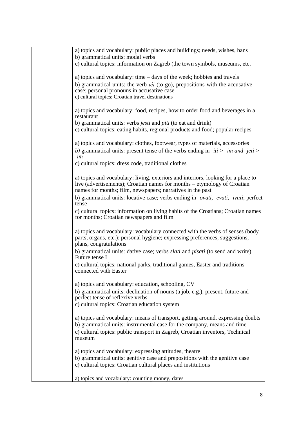| a) topics and vocabulary: public places and buildings; needs, wishes, bans<br>b) grammatical units: modal verbs                                               |
|---------------------------------------------------------------------------------------------------------------------------------------------------------------|
| c) cultural topics: information on Zagreb (the town symbols, museums, etc.                                                                                    |
| a) topics and vocabulary: time $-$ days of the week; hobbies and travels                                                                                      |
| b) grammatical units: the verb $i\acute{c}i$ (to go), prepositions with the accusative                                                                        |
| case; personal pronouns in accusative case<br>c) cultural topics: Croatian travel destinations                                                                |
|                                                                                                                                                               |
| a) topics and vocabulary: food, recipes, how to order food and beverages in a<br>restaurant                                                                   |
| b) grammatical units: verbs <i>jesti</i> and <i>piti</i> (to eat and drink)                                                                                   |
| c) cultural topics: eating habits, regional products and food; popular recipes                                                                                |
| a) topics and vocabulary: clothes, footwear, types of materials, accessories                                                                                  |
| b) grammatical units: present tense of the verbs ending in $-iti > -im$ and $-jeti >$                                                                         |
| $-im$                                                                                                                                                         |
| c) cultural topics: dress code, traditional clothes                                                                                                           |
|                                                                                                                                                               |
| a) topics and vocabulary: living, exteriors and interiors, looking for a place to<br>live (advertisements); Croatian names for months – etymology of Croatian |
| names for months; film, newspapers; narratives in the past                                                                                                    |
| b) grammatical units: locative case; verbs ending in <i>-ovati, -evati, -ivati</i> ; perfect                                                                  |
| tense                                                                                                                                                         |
| c) cultural topics: information on living habits of the Croatians; Croatian names<br>for months; Croatian newspapers and film                                 |
| a) topics and vocabulary: vocabulary connected with the verbs of senses (body<br>parts, organs, etc.); personal hygiene; expressing preferences, suggestions, |
| plans, congratulations                                                                                                                                        |
| b) grammatical units: dative case; verbs <i>slati</i> and <i>pisati</i> (to send and write).<br>Future tense I                                                |
| c) cultural topics: national parks, traditional games, Easter and traditions<br>connected with Easter                                                         |
| a) topics and vocabulary: education, schooling, CV                                                                                                            |
| b) grammatical units: declination of nouns (a job, e.g.), present, future and                                                                                 |
| perfect tense of reflexive verbs                                                                                                                              |
| c) cultural topics: Croatian education system                                                                                                                 |
| a) topics and vocabulary: means of transport, getting around, expressing doubts                                                                               |
| b) grammatical units: instrumental case for the company, means and time                                                                                       |
| c) cultural topics: public transport in Zagreb, Croatian inventors, Technical                                                                                 |
| museum                                                                                                                                                        |
| a) topics and vocabulary: expressing attitudes, theatre                                                                                                       |
| b) grammatical units: genitive case and prepositions with the genitive case                                                                                   |
| c) cultural topics: Croatian cultural places and institutions                                                                                                 |
| a) topics and vocabulary: counting money, dates                                                                                                               |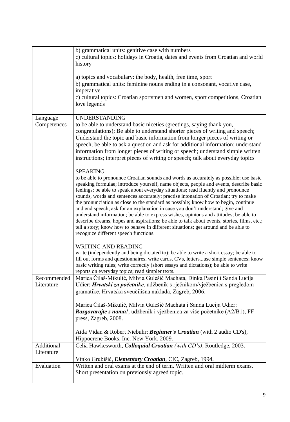|             | b) grammatical units: genitive case with numbers                                            |
|-------------|---------------------------------------------------------------------------------------------|
|             |                                                                                             |
|             | c) cultural topics: holidays in Croatia, dates and events from Croatian and world           |
|             | history                                                                                     |
|             |                                                                                             |
|             | a) topics and vocabulary: the body, health, free time, sport                                |
|             | b) grammatical units: feminine nouns ending in a consonant, vocative case,                  |
|             | imperative                                                                                  |
|             |                                                                                             |
|             | c) cultural topics: Croatian sportsmen and women, sport competitions, Croatian              |
|             | love legends                                                                                |
|             |                                                                                             |
| Language    | <b>UNDERSTANDING</b>                                                                        |
| Competences | to be able to understand basic niceties (greetings, saying thank you,                       |
|             | congratulations); Be able to understand shorter pieces of writing and speech;               |
|             | Understand the topic and basic information from longer pieces of writing or                 |
|             |                                                                                             |
|             | speech; be able to ask a question and ask for additional information; understand            |
|             | information from longer pieces of writing or speech; understand simple written              |
|             | instructions; interpret pieces of writing or speech; talk about everyday topics             |
|             |                                                                                             |
|             | <b>SPEAKING</b>                                                                             |
|             | to be able to pronounce Croatian sounds and words as accurately as possible; use basic      |
|             | speaking formulae; introduce yourself, name objects, people and events, describe basic      |
|             | feelings; be able to speak about everyday situations; read fluently and pronounce           |
|             | sounds, words and sentences accurately; practise intonation of Croatian; try to make        |
|             | the pronunciation as close to the standard as possible; know how to begin, continue         |
|             | and end speech; ask for an explanation in case you don't understand; give and               |
|             | understand information; be able to express wishes, opinions and attitudes; be able to       |
|             |                                                                                             |
|             | describe dreams, hopes and aspirations; be able to talk about events, stories, films, etc.; |
|             | tell a story; know how to behave in different situations; get around and be able to         |
|             | recognize different speech functions.                                                       |
|             |                                                                                             |
|             | <b>WRITING AND READING</b>                                                                  |
|             | write (independently and being dictated to); be able to write a short essay; be able to     |
|             | fill out forms and questionnaires, write cards, CVs, lettersuse simple sentences; know      |
|             | basic writing rules; write correctly (short essays and dictations); be able to write        |
|             | reports on everyday topics; read simpler texts.                                             |
| Recommended | Marica Čilaš-Mikulić, Milvia Gulešić Machata, Dinka Pasini i Sanda Lucija                   |
| Literature  | Udier: <i>Hrvatski za početnike</i> , udžbenik s rječnikom/vježbenica s pregledom           |
|             | gramatike, Hrvatska sveučilišna naklada, Zagreb, 2006.                                      |
|             |                                                                                             |
|             | Marica Čilaš-Mikulić, Milvia Gulešić Machata i Sanda Lucija Udier:                          |
|             |                                                                                             |
|             | Razgovarajte s nama!, udžbenik i vježbenica za više početnike (A2/B1), FF                   |
|             | press, Zagreb, 2008.                                                                        |
|             |                                                                                             |
|             | Aida Vidan & Robert Niebuhr: Beginner's Croatian (with 2 audio CD's),                       |
|             | Hippocrene Books, Inc. New York, 2009.                                                      |
| Additional  | Celia Hawkesworth, Colloquial Croatian (with CD's), Routledge, 2003.                        |
| Literature  |                                                                                             |
|             | Vinko Grubišić, <i>Elementary Croatian</i> , CIC, Zagreb, 1994.                             |
| Evaluation  | Written and oral exams at the end of term. Written and oral midterm exams.                  |
|             | Short presentation on previously agreed topic.                                              |
|             |                                                                                             |
|             |                                                                                             |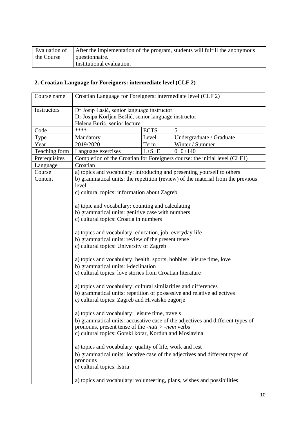| Evaluation of | After the implementation of the program, students will fulfill the anonymous |
|---------------|------------------------------------------------------------------------------|
| the Course    | question aire.                                                               |
|               | Institutional evaluation.                                                    |

# **2. Croatian Language for Foreigners: intermediate level (CLF 2)**

| Course name   | Croatian Language for Foreigners: intermediate level (CLF 2)                                                                        |             |                                                                                |
|---------------|-------------------------------------------------------------------------------------------------------------------------------------|-------------|--------------------------------------------------------------------------------|
| Instructors   | Dr Josip Lasić, senior language instructor<br>Dr Josipa Korljan Bešlić, senior language instructor<br>Helena Burić, senior lecturer |             |                                                                                |
| Code          | ****                                                                                                                                | <b>ECTS</b> | 5                                                                              |
| Type          | Mandatory                                                                                                                           | Level       | Undergraduate / Graduate                                                       |
| Year          | 2019/2020                                                                                                                           | Term        | Winter / Summer                                                                |
| Teaching form | Language exercises                                                                                                                  | $L + S + E$ | $0+0+140$                                                                      |
| Prerequisites |                                                                                                                                     |             | Completion of the Croatian for Foreigners course: the initial level (CLF1)     |
| Language      | Croatian                                                                                                                            |             |                                                                                |
| Course        |                                                                                                                                     |             | a) topics and vocabulary: introducing and presenting yourself to others        |
| Content       | b) grammatical units: the repetition (review) of the material from the previous                                                     |             |                                                                                |
|               | level                                                                                                                               |             |                                                                                |
|               | c) cultural topics: information about Zagreb                                                                                        |             |                                                                                |
|               | a) topic and vocabulary: counting and calculating                                                                                   |             |                                                                                |
|               | b) grammatical units: genitive case with numbers                                                                                    |             |                                                                                |
|               | c) cultural topics: Croatia in numbers                                                                                              |             |                                                                                |
|               |                                                                                                                                     |             |                                                                                |
|               | a) topics and vocabulary: education, job, everyday life                                                                             |             |                                                                                |
|               | b) grammatical units: review of the present tense                                                                                   |             |                                                                                |
|               | c) cultural topics: University of Zagreb                                                                                            |             |                                                                                |
|               | a) topics and vocabulary: health, sports, hobbies, leisure time, love                                                               |             |                                                                                |
|               | b) grammatical units: i-declination                                                                                                 |             |                                                                                |
|               | c) cultural topics: love stories from Croatian literature                                                                           |             |                                                                                |
|               | a) topics and vocabulary: cultural similarities and differences                                                                     |             |                                                                                |
|               | b) grammatical units: repetition of possessive and relative adjectives                                                              |             |                                                                                |
|               | $c$ ) cultural topics: Zagreb and Hrvatsko zagorje                                                                                  |             |                                                                                |
|               | a) topics and vocabulary: leisure time, travels                                                                                     |             |                                                                                |
|               |                                                                                                                                     |             | b) grammatical units: accusative case of the adjectives and different types of |
|               | pronouns, present tense of the <i>-nuti</i> $>$ <i>-nem</i> verbs                                                                   |             |                                                                                |
|               | c) cultural topics: Gorski kotar, Kordun and Moslavina                                                                              |             |                                                                                |
|               | a) topics and vocabulary: quality of life, work and rest                                                                            |             |                                                                                |
|               |                                                                                                                                     |             | b) grammatical units: locative case of the adjectives and different types of   |
|               | pronouns                                                                                                                            |             |                                                                                |
|               | c) cultural topics: Istria                                                                                                          |             |                                                                                |
|               |                                                                                                                                     |             | a) topics and vocabulary: volunteering, plans, wishes and possibilities        |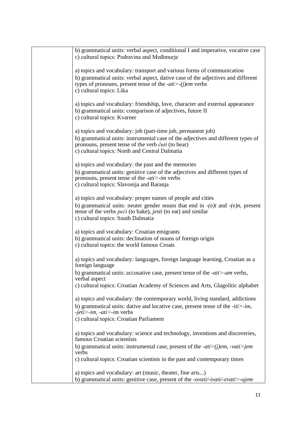| b) grammatical units: verbal aspect, conditional I and imperative, vocative case<br>c) cultural topics: Podravina and Međimurje                                                                          |
|----------------------------------------------------------------------------------------------------------------------------------------------------------------------------------------------------------|
| a) topics and vocabulary: transport and various forms of communication                                                                                                                                   |
| b) grammatical units: verbal aspect, dative case of the adjectives and different<br>types of pronouns, present tense of the $-ati$ $\geq$ $(j)$ <i>em</i> verbs<br>c) cultural topics: Lika              |
| a) topics and vocabulary: friendship, love, character and external appearance<br>b) grammatical units: comparison of adjectives, future II<br>c) cultural topics: Kvarner                                |
| a) topics and vocabulary: job (part-time job, permanent job)                                                                                                                                             |
| b) grammatical units: instrumental case of the adjectives and different types of<br>pronouns, present tense of the verb čuti (to hear)<br>c) cultural topics: North and Central Dalmatia                 |
| a) topics and vocabulary: the past and the memories                                                                                                                                                      |
| b) grammatical units: genitive case of the adjectives and different types of<br>pronouns, present tense of the <i>-ati</i> >- <i>im</i> verbs<br>c) cultural topics: Slavonija and Baranja               |
| a) topics and vocabulary: proper names of people and cities                                                                                                                                              |
| b) grammatical units: neuter gender nouns that end in $-(e)t$ and $-(e)n$ , present<br>tense of the verbs <i>peći</i> (to bake), <i>jesti</i> (to eat) and similar<br>c) cultural topics: South Dalmatia |
|                                                                                                                                                                                                          |
| a) topics and vocabulary: Croatian emigrants<br>b) grammatical units: declination of nouns of foreign origin                                                                                             |
| c) cultural topics: the world famous Croats                                                                                                                                                              |
| a) topics and vocabulary: languages, foreign language learning, Croatian as a<br>foreign language                                                                                                        |
| b) grammatical units: accusative case, present tense of the -ati>-am verbs,<br>verbal aspect                                                                                                             |
| c) cultural topics: Croatian Academy of Sciences and Arts, Glagolitic alphabet                                                                                                                           |
| a) topics and vocabulary: the contemporary world, living standard, addictions                                                                                                                            |
| b) grammatical units: dative and locative case, present tense of the $-iti>im$ ,<br>$-jeti$ <i>&gt;-im</i> , - <i>ati&gt;-im</i> verbs                                                                   |
| c) cultural topics: Croatian Parliament                                                                                                                                                                  |
| a) topics and vocabulary: science and technology, inventions and discoveries,<br>famous Croatian scientists                                                                                              |
| b) grammatical units: instrumental case, present of the $-ati > (j)em$ , $-vat i > jem$<br>verbs                                                                                                         |
| c) cultural topics: Croatian scientists in the past and contemporary times                                                                                                                               |
| a) topics and vocabulary: art (music, theater, fine arts)                                                                                                                                                |
| b) grammatical units: genitive case, present of the -ovati/-ivati/-evati>-ujem                                                                                                                           |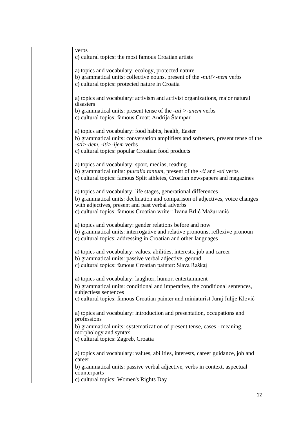| verbs<br>c) cultural topics: the most famous Croatian artists                                                                                                                                               |
|-------------------------------------------------------------------------------------------------------------------------------------------------------------------------------------------------------------|
| a) topics and vocabulary: ecology, protected nature<br>b) grammatical units: collective nouns, present of the -nuti>-nem verbs<br>c) cultural topics: protected nature in Croatia                           |
| a) topics and vocabulary: activism and activist organizations, major natural<br>disasters<br>b) grammatical units: present tense of the $-ati$ >-anem verbs                                                 |
| c) cultural topics: famous Croat: Andrija Štampar                                                                                                                                                           |
| a) topics and vocabulary: food habits, health, Easter                                                                                                                                                       |
| b) grammatical units: conversation amplifiers and softeners, present tense of the<br>$-sti$ > -dem, -iti > -ijem verbs                                                                                      |
| c) cultural topics: popular Croatian food products                                                                                                                                                          |
| a) topics and vocabulary: sport, medias, reading                                                                                                                                                            |
| b) grammatical units: <i>pluralia tantum</i> , present of the - <i>ći</i> and - <i>sti</i> verbs<br>c) cultural topics: famous Split athletes, Croatian newspapers and magazines                            |
| a) topics and vocabulary: life stages, generational differences<br>b) grammatical units: declination and comparison of adjectives, voice changes                                                            |
| with adjectives, present and past verbal adverbs<br>c) cultural topics: famous Croatian writer: Ivana Brlić Mažurranić                                                                                      |
| a) topics and vocabulary: gender relations before and now<br>b) grammatical units: interrogative and relative pronouns, reflexive pronoun<br>c) cultural topics: addressing in Croatian and other languages |
| a) topics and vocabulary: values, abilities, interests, job and career<br>b) grammatical units: passive verbal adjective, gerund<br>c) cultural topics: famous Croatian painter: Slava Raškaj               |
| a) topics and vocabulary: laughter, humor, entertainment                                                                                                                                                    |
| b) grammatical units: conditional and imperative, the conditional sentences,<br>subjectless sentences                                                                                                       |
| c) cultural topics: famous Croatian painter and miniaturist Juraj Julije Klović                                                                                                                             |
| a) topics and vocabulary: introduction and presentation, occupations and<br>professions                                                                                                                     |
| b) grammatical units: systematization of present tense, cases - meaning,<br>morphology and syntax                                                                                                           |
| c) cultural topics: Zagreb, Croatia                                                                                                                                                                         |
| a) topics and vocabulary: values, abilities, interests, career guidance, job and<br>career                                                                                                                  |
| b) grammatical units: passive verbal adjective, verbs in context, aspectual<br>counterparts                                                                                                                 |
| c) cultural topics: Women's Rights Day                                                                                                                                                                      |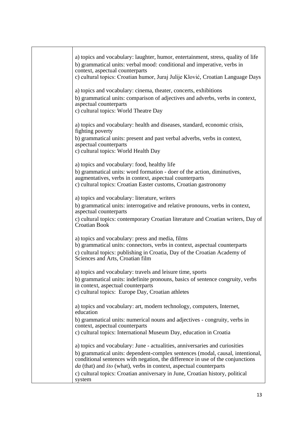| a) topics and vocabulary: laughter, humor, entertainment, stress, quality of life                                                                             |
|---------------------------------------------------------------------------------------------------------------------------------------------------------------|
| b) grammatical units: verbal mood: conditional and imperative, verbs in                                                                                       |
| context, aspectual counterparts                                                                                                                               |
| c) cultural topics: Croatian humor, Juraj Julije Klović, Croatian Language Days                                                                               |
| a) topics and vocabulary: cinema, theater, concerts, exhibitions                                                                                              |
| b) grammatical units: comparison of adjectives and adverbs, verbs in context,<br>aspectual counterparts                                                       |
| c) cultural topics: World Theatre Day                                                                                                                         |
| a) topics and vocabulary: health and diseases, standard, economic crisis,                                                                                     |
| fighting poverty                                                                                                                                              |
| b) grammatical units: present and past verbal adverbs, verbs in context,<br>aspectual counterparts                                                            |
| c) cultural topics: World Health Day                                                                                                                          |
| a) topics and vocabulary: food, healthy life                                                                                                                  |
| b) grammatical units: word formation - doer of the action, diminutives,<br>augmentatives, verbs in context, aspectual counterparts                            |
| c) cultural topics: Croatian Easter customs, Croatian gastronomy                                                                                              |
| a) topics and vocabulary: literature, writers                                                                                                                 |
| b) grammatical units: interrogative and relative pronouns, verbs in context,                                                                                  |
| aspectual counterparts<br>c) cultural topics: contemporary Croatian literature and Croatian writers, Day of                                                   |
| <b>Croatian Book</b>                                                                                                                                          |
| a) topics and vocabulary: press and media, films                                                                                                              |
| b) grammatical units: connectors, verbs in context, aspectual counterparts                                                                                    |
| c) cultural topics: publishing in Croatia, Day of the Croatian Academy of<br>Sciences and Arts, Croatian film                                                 |
| a) topics and vocabulary: travels and leisure time, sports                                                                                                    |
| b) grammatical units: indefinite pronouns, basics of sentence congruity, verbs                                                                                |
| in context, aspectual counterparts<br>c) cultural topics: Europe Day, Croatian athletes                                                                       |
|                                                                                                                                                               |
| a) topics and vocabulary: art, modern technology, computers, Internet,<br>education                                                                           |
| b) grammatical units: numerical nouns and adjectives - congruity, verbs in                                                                                    |
| context, aspectual counterparts<br>c) cultural topics: International Museum Day, education in Croatia                                                         |
|                                                                                                                                                               |
| a) topics and vocabulary: June - actualities, anniversaries and curiosities<br>b) grammatical units: dependent-complex sentences (modal, causal, intentional, |
| conditional sentences with negation, the difference in use of the conjunctions                                                                                |
| da (that) and što (what), verbs in context, aspectual counterparts<br>c) cultural topics: Croatian anniversary in June, Croatian history, political           |
| system                                                                                                                                                        |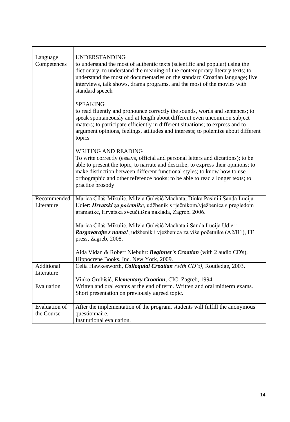| Language<br>Competences   | <b>UNDERSTANDING</b><br>to understand the most of authentic texts (scientific and popular) using the                                                                                                                                                                                                                                                                                 |  |
|---------------------------|--------------------------------------------------------------------------------------------------------------------------------------------------------------------------------------------------------------------------------------------------------------------------------------------------------------------------------------------------------------------------------------|--|
|                           | dictionary; to understand the meaning of the contemporary literary texts; to<br>understand the most of documentaries on the standard Croatian language; live<br>interviews, talk shows, drama programs, and the most of the movies with<br>standard speech                                                                                                                           |  |
|                           | <b>SPEAKING</b><br>to read fluently and pronounce correctly the sounds, words and sentences; to<br>speak spontaneously and at length about different even uncommon subject<br>matters; to participate efficiently in different situations; to express and to<br>argument opinions, feelings, attitudes and interests; to polemize about different<br>topics                          |  |
|                           | <b>WRITING AND READING</b><br>To write correctly (essays, official and personal letters and dictations); to be<br>able to present the topic, to narrate and describe; to express their opinions; to<br>make distinction between different functional styles; to know how to use<br>orthographic and other reference books; to be able to read a longer texts; to<br>practice prosody |  |
| Recommended<br>Literature | Marica Čilaš-Mikulić, Milvia Gulešić Machata, Dinka Pasini i Sanda Lucija<br>Udier: Hrvatski za početnike, udžbenik s rječnikom/vježbenica s pregledom<br>gramatike, Hrvatska sveučilišna naklada, Zagreb, 2006.                                                                                                                                                                     |  |
|                           | Marica Čilaš-Mikulić, Milvia Gulešić Machata i Sanda Lucija Udier:<br>Razgovarajte s nama!, udžbenik i vježbenica za više početnike (A2/B1), FF<br>press, Zagreb, 2008.                                                                                                                                                                                                              |  |
|                           | Aida Vidan & Robert Niebuhr: Beginner's Croatian (with 2 audio CD's),<br>Hippocrene Books, Inc. New York, 2009.                                                                                                                                                                                                                                                                      |  |
| Additional                | Celia Hawkesworth, Colloquial Croatian (with CD's), Routledge, 2003.                                                                                                                                                                                                                                                                                                                 |  |
| Literature                | Vinko Grubišić, <i>Elementary Croatian</i> , CIC, Zagreb, 1994.                                                                                                                                                                                                                                                                                                                      |  |
| Evaluation                | Written and oral exams at the end of term. Written and oral midterm exams.                                                                                                                                                                                                                                                                                                           |  |
|                           | Short presentation on previously agreed topic.                                                                                                                                                                                                                                                                                                                                       |  |
| <b>Evaluation of</b>      | After the implementation of the program, students will fulfill the anonymous                                                                                                                                                                                                                                                                                                         |  |
| the Course                | questionnaire.                                                                                                                                                                                                                                                                                                                                                                       |  |
|                           | Institutional evaluation.                                                                                                                                                                                                                                                                                                                                                            |  |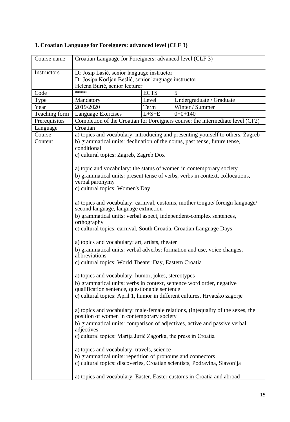| Course name   | Croatian Language for Foreigners: advanced level (CLF 3)                                                                            |             |                                                                                 |
|---------------|-------------------------------------------------------------------------------------------------------------------------------------|-------------|---------------------------------------------------------------------------------|
| Instructors   | Dr Josip Lasić, senior language instructor<br>Dr Josipa Korljan Bešlić, senior language instructor<br>Helena Burić, senior lecturer |             |                                                                                 |
| Code          | ****                                                                                                                                | <b>ECTS</b> | 5                                                                               |
| Type          | Mandatory                                                                                                                           | Level       | Undergraduate / Graduate                                                        |
| Year          | 2019/2020                                                                                                                           | Term        | Winter / Summer                                                                 |
| Teaching form | <b>Language Exercises</b>                                                                                                           | $L + S + E$ | $0+0+140$                                                                       |
| Prerequisites |                                                                                                                                     |             | Completion of the Croatian for Foreigners course: the intermediate level (CF2)  |
| Language      | Croatian                                                                                                                            |             |                                                                                 |
| Course        |                                                                                                                                     |             | a) topics and vocabulary: introducing and presenting yourself to others, Zagreb |
| Content       | conditional                                                                                                                         |             | b) grammatical units: declination of the nouns, past tense, future tense,       |
|               | c) cultural topics: Zagreb, Zagreb Dox                                                                                              |             |                                                                                 |
|               |                                                                                                                                     |             | a) topic and vocabulary: the status of women in contemporary society            |
|               |                                                                                                                                     |             | b) grammatical units: present tense of verbs, verbs in context, collocations,   |
|               | verbal paronymy<br>c) cultural topics: Women's Day                                                                                  |             |                                                                                 |
|               |                                                                                                                                     |             |                                                                                 |
|               | second language, language extinction                                                                                                |             | a) topics and vocabulary: carnival, customs, mother tongue/foreign language/    |
|               | orthography                                                                                                                         |             | b) grammatical units: verbal aspect, independent-complex sentences,             |
|               | c) cultural topics: carnival, South Croatia, Croatian Language Days                                                                 |             |                                                                                 |
|               | a) topics and vocabulary: art, artists, theater                                                                                     |             |                                                                                 |
|               | abbreviations                                                                                                                       |             | b) grammatical units: verbal adverbs: formation and use, voice changes,         |
|               | c) cultural topics: World Theater Day, Eastern Croatia                                                                              |             |                                                                                 |
|               | a) topics and vocabulary: humor, jokes, stereotypes                                                                                 |             |                                                                                 |
|               | qualification sentence, questionable sentence                                                                                       |             | b) grammatical units: verbs in context, sentence word order, negative           |
|               |                                                                                                                                     |             | c) cultural topics: April 1, humor in different cultures, Hrvatsko zagorje      |
|               | position of women in contemporary society                                                                                           |             | a) topics and vocabulary: male-female relations, (in)equality of the sexes, the |
|               | adjectives                                                                                                                          |             | b) grammatical units: comparison of adjectives, active and passive verbal       |
|               | c) cultural topics: Marija Jurić Zagorka, the press in Croatia                                                                      |             |                                                                                 |
|               | a) topics and vocabulary: travels, science                                                                                          |             |                                                                                 |
|               | b) grammatical units: repetition of pronouns and connectors                                                                         |             |                                                                                 |
|               |                                                                                                                                     |             | c) cultural topics: discoveries, Croatian scientists, Podravina, Slavonija      |
|               |                                                                                                                                     |             | a) topics and vocabulary: Easter, Easter customs in Croatia and abroad          |

# **3. Croatian Language for Foreigners: advanced level (CLF 3)**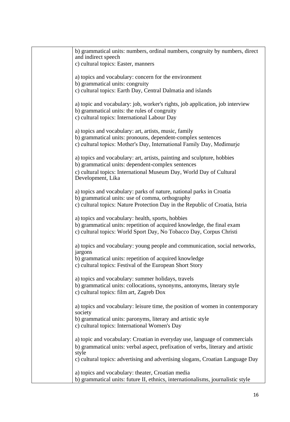| b) grammatical units: numbers, ordinal numbers, congruity by numbers, direct<br>and indirect speech                                                                                                |
|----------------------------------------------------------------------------------------------------------------------------------------------------------------------------------------------------|
| c) cultural topics: Easter, manners                                                                                                                                                                |
| a) topics and vocabulary: concern for the environment                                                                                                                                              |
| b) grammatical units: congruity<br>c) cultural topics: Earth Day, Central Dalmatia and islands                                                                                                     |
| a) topic and vocabulary: job, worker's rights, job application, job interview<br>b) grammatical units: the rules of congruity<br>c) cultural topics: International Labour Day                      |
| a) topics and vocabulary: art, artists, music, family<br>b) grammatical units: pronouns, dependent-complex sentences                                                                               |
| c) cultural topics: Mother's Day, International Family Day, Medimurje                                                                                                                              |
| a) topics and vocabulary: art, artists, painting and sculpture, hobbies<br>b) grammatical units: dependent-complex sentences                                                                       |
| c) cultural topics: International Museum Day, World Day of Cultural<br>Development, Lika                                                                                                           |
| a) topics and vocabulary: parks of nature, national parks in Croatia                                                                                                                               |
| b) grammatical units: use of comma, orthography<br>c) cultural topics: Nature Protection Day in the Republic of Croatia, Istria                                                                    |
| a) topics and vocabulary: health, sports, hobbies<br>b) grammatical units: repetition of acquired knowledge, the final exam<br>c) cultural topics: World Sport Day, No Tobacco Day, Corpus Christi |
| a) topics and vocabulary: young people and communication, social networks,<br>jargons                                                                                                              |
| b) grammatical units: repetition of acquired knowledge<br>c) cultural topics: Festival of the European Short Story                                                                                 |
| a) topics and vocabulary: summer holidays, travels                                                                                                                                                 |
| b) grammatical units: collocations, synonyms, antonyms, literary style<br>c) cultural topics: film art, Zagreb Dox                                                                                 |
| a) topics and vocabulary: leisure time, the position of women in contemporary<br>society                                                                                                           |
| b) grammatical units: paronyms, literary and artistic style<br>c) cultural topics: International Women's Day                                                                                       |
| a) topic and vocabulary: Croatian in everyday use, language of commercials                                                                                                                         |
| b) grammatical units: verbal aspect, prefixation of verbs, literary and artistic<br>style                                                                                                          |
| c) cultural topics: advertising and advertising slogans, Croatian Language Day                                                                                                                     |
| a) topics and vocabulary: theater, Croatian media                                                                                                                                                  |
| b) grammatical units: future II, ethnics, internationalisms, journalistic style                                                                                                                    |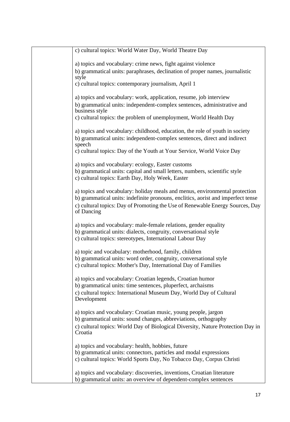| c) cultural topics: World Water Day, World Theatre Day                                                                                             |
|----------------------------------------------------------------------------------------------------------------------------------------------------|
| a) topics and vocabulary: crime news, fight against violence                                                                                       |
| b) grammatical units: paraphrases, declination of proper names, journalistic<br>style                                                              |
| c) cultural topics: contemporary journalism, April 1                                                                                               |
| a) topics and vocabulary: work, application, resume, job interview                                                                                 |
| b) grammatical units: independent-complex sentences, administrative and<br>business style                                                          |
| c) cultural topics: the problem of unemployment, World Health Day                                                                                  |
| a) topics and vocabulary: childhood, education, the role of youth in society                                                                       |
| b) grammatical units: independent-complex sentences, direct and indirect<br>speech                                                                 |
| c) cultural topics: Day of the Youth at Your Service, World Voice Day                                                                              |
| a) topics and vocabulary: ecology, Easter customs                                                                                                  |
| b) grammatical units: capital and small letters, numbers, scientific style<br>c) cultural topics: Earth Day, Holy Week, Easter                     |
| a) topics and vocabulary: holiday meals and menus, environmental protection                                                                        |
| b) grammatical units: indefinite pronouns, enclitics, aorist and imperfect tense                                                                   |
| c) cultural topics: Day of Promoting the Use of Renewable Energy Sources, Day<br>of Dancing                                                        |
| a) topics and vocabulary: male-female relations, gender equality                                                                                   |
| b) grammatical units: dialects, congruity, conversational style<br>c) cultural topics: stereotypes, International Labour Day                       |
| a) topic and vocabulary: motherhood, family, children                                                                                              |
| b) grammatical units: word order, congruity, conversational style<br>c) cultural topics: Mother's Day, International Day of Families               |
| a) topics and vocabulary: Croatian legends, Croatian humor                                                                                         |
| b) grammatical units: time sentences, pluperfect, archaisms<br>c) cultural topics: International Museum Day, World Day of Cultural                 |
| Development                                                                                                                                        |
| a) topics and vocabulary: Croatian music, young people, jargon                                                                                     |
| b) grammatical units: sound changes, abbreviations, orthography<br>c) cultural topics: World Day of Biological Diversity, Nature Protection Day in |
| Croatia                                                                                                                                            |
| a) topics and vocabulary: health, hobbies, future<br>b) grammatical units: connectors, particles and modal expressions                             |
| c) cultural topics: World Sports Day, No Tobacco Day, Corpus Christi                                                                               |
| a) topics and vocabulary: discoveries, inventions, Croatian literature                                                                             |
| b) grammatical units: an overview of dependent-complex sentences                                                                                   |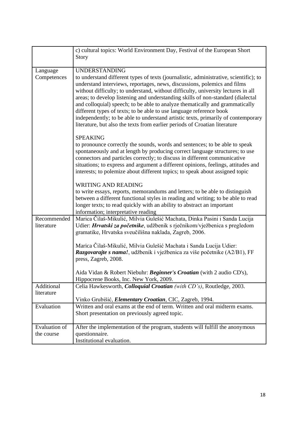|                      | c) cultural topics: World Environment Day, Festival of the European Short                                                                           |
|----------------------|-----------------------------------------------------------------------------------------------------------------------------------------------------|
|                      | Story                                                                                                                                               |
|                      |                                                                                                                                                     |
| Language             | <b>UNDERSTANDING</b>                                                                                                                                |
| Competences          | to understand different types of texts (journalistic, administrative, scientific); to                                                               |
|                      | understand interviews, reportages, news, discussions, polemics and films                                                                            |
|                      | without difficulty; to understand, without difficulty, university lectures in all                                                                   |
|                      | areas; to develop listening and understanding skills of non-standard (dialectal                                                                     |
|                      | and colloquial) speech; to be able to analyze thematically and grammatically<br>different types of texts; to be able to use language reference book |
|                      | independently; to be able to understand artistic texts, primarily of contemporary                                                                   |
|                      | literature, but also the texts from earlier periods of Croatian literature                                                                          |
|                      |                                                                                                                                                     |
|                      | <b>SPEAKING</b>                                                                                                                                     |
|                      | to pronounce correctly the sounds, words and sentences; to be able to speak                                                                         |
|                      | spontaneously and at length by producing correct language structures; to use                                                                        |
|                      | connectors and particles correctly; to discuss in different communicative                                                                           |
|                      | situations; to express and argument a different opinions, feelings, attitudes and                                                                   |
|                      | interests; to polemize about different topics; to speak about assigned topic                                                                        |
|                      | <b>WRITING AND READING</b>                                                                                                                          |
|                      | to write essays, reports, memorandums and letters; to be able to distinguish                                                                        |
|                      | between a different functional styles in reading and writing; to be able to read                                                                    |
|                      | longer texts; to read quickly with an ability to abstract an important                                                                              |
|                      | information; interpretative reading                                                                                                                 |
| Recommended          | Marica Čilaš-Mikulić, Milvia Gulešić Machata, Dinka Pasini i Sanda Lucija                                                                           |
| literature           | Udier: Hrvatski za početnike, udžbenik s rječnikom/vježbenica s pregledom                                                                           |
|                      | gramatike, Hrvatska sveučilišna naklada, Zagreb, 2006.                                                                                              |
|                      | Marica Čilaš-Mikulić, Milvia Gulešić Machata i Sanda Lucija Udier:                                                                                  |
|                      | Razgovarajte s nama!, udžbenik i vježbenica za više početnike (A2/B1), FF                                                                           |
|                      | press, Zagreb, 2008.                                                                                                                                |
|                      |                                                                                                                                                     |
|                      | Aida Vidan & Robert Niebuhr: Beginner's Croatian (with 2 audio CD's),                                                                               |
|                      | Hippocrene Books, Inc. New York, 2009.                                                                                                              |
| Additional           | Celia Hawkesworth, Colloquial Croatian (with CD's), Routledge, 2003.                                                                                |
| literature           | Vinko Grubišić, <i>Elementary Croatian</i> , CIC, Zagreb, 1994.                                                                                     |
| Evaluation           | Written and oral exams at the end of term. Written and oral midterm exams.                                                                          |
|                      | Short presentation on previously agreed topic.                                                                                                      |
|                      |                                                                                                                                                     |
| <b>Evaluation of</b> | After the implementation of the program, students will fulfill the anonymous                                                                        |
| the course           | questionnaire.                                                                                                                                      |
|                      | Institutional evaluation.                                                                                                                           |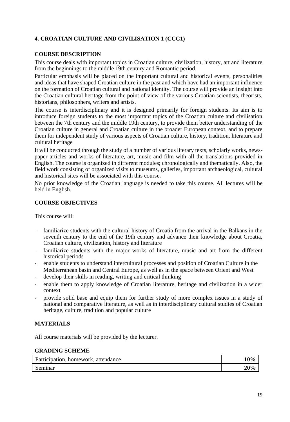# **4. CROATIAN CULTURE AND CIVILISATION 1 (CCC1)**

# **COURSE DESCRIPTION**

This course deals with important topics in Croatian culture, civilization, history, art and literature from the beginnings to the middle 19th century and Romantic period.

Particular emphasis will be placed on the important cultural and historical events, personalities and ideas that have shaped Croatian culture in the past and which have had an important influence on the formation of Croatian cultural and national identity. The course will provide an insight into the Croatian cultural heritage from the point of view of the various Croatian scientists, theorists, historians, philosophers, writers and artists.

The course is interdisciplinary and it is designed primarily for foreign students. Its aim is to introduce foreign students to the most important topics of the Croatian culture and civilisation between the 7th century and the middle 19th century, to provide them better understanding of the Croatian culture in general and Croatian culture in the broader European context, and to prepare them for independent study of various aspects of Croatian culture, history, tradition, literature and cultural heritage

It will be conducted through the study of a number of various literary texts, scholarly works, newspaper articles and works of literature, art, music and film with all the translations provided in English. The course is organized in different modules; chronologically and thematically. Also, the field work consisting of organized visits to museums, galleries, important archaeological, cultural and historical sites will be associated with this course.

No prior knowledge of the Croatian language is needed to take this course. All lectures will be held in English.

#### **COURSE OBJECTIVES**

This course will:

- familiarize students with the cultural history of Croatia from the arrival in the Balkans in the seventh century to the end of the 19th century and advance their knowledge about Croatia, Croatian culture, civilization, history and literature
- familiarize students with the major works of literature, music and art from the different historical periods
- enable students to understand intercultural processes and position of Croatian Culture in the Mediterranean basin and Central Europe, as well as in the space between Orient and West
- develop their skills in reading, writing and critical thinking
- enable them to apply knowledge of Croatian literature, heritage and civilization in a wider context
- provide solid base and equip them for further study of more complex issues in a study of national and comparative literature, as well as in interdisciplinary cultural studies of Croatian heritage, culture, tradition and popular culture

# **MATERIALS**

All course materials will be provided by the lecturer.

#### **GRADING SCHEME**

| Participation, homework, attendance | 10% |
|-------------------------------------|-----|
| Seminar                             | 20% |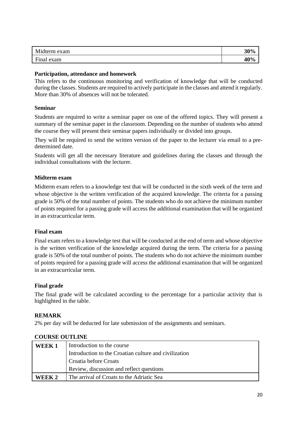| Midterm exam | 30% |
|--------------|-----|
| Final exam   | 40% |

#### **Participation, attendance and homework**

This refers to the continuous monitoring and verification of knowledge that will be conducted during the classes. Students are required to actively participate in the classes and attend it regularly. More than 30% of absences will not be tolerated.

#### **Seminar**

Students are required to write a seminar paper on one of the offered topics. They will present a summary of the seminar paper in the classroom. Depending on the number of students who attend the course they will present their seminar papers individually or divided into groups.

They will be required to send the written version of the paper to the lecturer via email to a predetermined date.

Students will get all the necessary literature and guidelines during the classes and through the individual consultations with the lecturer.

# **Midterm exam**

Midterm exam refers to a knowledge test that will be conducted in the sixth week of the term and whose objective is the written verification of the acquired knowledge. The criteria for a passing grade is 50% of the total number of points. The students who do not achieve the minimum number of points required for a passing grade will access the additional examination that will be organized in an extracurricular term.

#### **Final exam**

Final exam refers to a knowledge test that will be conducted at the end of term and whose objective is the written verification of the knowledge acquired during the term. The criteria for a passing grade is 50% of the total number of points. The students who do not achieve the minimum number of points required for a passing grade will access the additional examination that will be organized in an extracurricular term.

# **Final grade**

The final grade will be calculated according to the percentage for a particular activity that is highlighted in the table.

#### **REMARK**

2% per day will be deducted for late submission of the assignments and seminars.

| WEEK 1 | Introduction to the course                            |
|--------|-------------------------------------------------------|
|        | Introduction to the Croatian culture and civilization |
|        | Croatia before Croats                                 |
|        | Review, discussion and reflect questions              |
| WEEK 2 | The arrival of Croats to the Adriatic Sea             |

# **COURSE OUTLINE**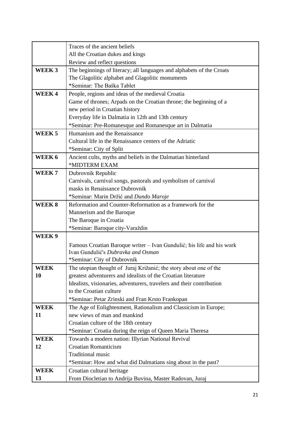|                   | Traces of the ancient beliefs                                         |
|-------------------|-----------------------------------------------------------------------|
|                   | All the Croatian dukes and kings                                      |
|                   | Review and reflect questions                                          |
| WEEK <sub>3</sub> | The beginnings of literacy; all languages and alphabets of the Croats |
|                   | The Glagolitic alphabet and Glagolitic monuments                      |
|                   | *Seminar: The Baška Tablet                                            |
| <b>WEEK4</b>      | People, regions and ideas of the medieval Croatia                     |
|                   | Game of thrones; Arpads on the Croatian throne; the beginning of a    |
|                   | new period in Croatian history                                        |
|                   | Everyday life in Dalmatia in 12th and 13th century                    |
|                   | *Seminar: Pre-Romanesque and Romanesque art in Dalmatia               |
| WEEK <sub>5</sub> | Humanism and the Renaissance                                          |
|                   | Cultural life in the Renaissance centers of the Adriatic              |
|                   | *Seminar: City of Split                                               |
| WEEK 6            | Ancient cults, myths and beliefs in the Dalmatian hinterland          |
|                   | *MIDTERM EXAM                                                         |
| WEEK <sub>7</sub> | Dubrovnik Republic                                                    |
|                   | Carnivals, carnival songs, pastorals and symbolism of carnival        |
|                   | masks in Renaissance Dubrovnik                                        |
|                   | *Seminar: Marin Držić and Dundo Maroje                                |
| <b>WEEK8</b>      | Reformation and Counter-Reformation as a framework for the            |
|                   | Mannerism and the Baroque                                             |
|                   | The Baroque in Croatia                                                |
|                   | *Seminar: Baroque city-Varaždin                                       |
| WEEK 9            |                                                                       |
|                   | Famous Croatian Baroque writer – Ivan Gundulić; his life and his work |
|                   | Ivan Gundulić's Dubravka and Osman                                    |
|                   | *Seminar: City of Dubrovnik                                           |
| <b>WEEK</b>       | The utopian thought of Juraj Križanić; the story about one of the     |
| <b>10</b>         | greatest adventurers and idealists of the Croatian literature         |
|                   | Idealists, visionaries, adventurers, travelers and their contribution |
|                   | to the Croatian culture                                               |
|                   | *Seminar: Petar Zrinski and Fran Krsto Frankopan                      |
| <b>WEEK</b>       | The Age of Enlightenment, Rationalism and Classicism in Europe;       |
| 11                | new views of man and mankind                                          |
|                   | Croatian culture of the 18th century                                  |
|                   | *Seminar: Croatia during the reign of Queen Maria Theresa             |
| <b>WEEK</b>       | Towards a modern nation: Illyrian National Revival                    |
| 12                | <b>Croatian Romanticism</b>                                           |
|                   | <b>Traditional music</b>                                              |
|                   | *Seminar: How and what did Dalmatians sing about in the past?         |
| <b>WEEK</b>       | Croatian cultural heritage                                            |
| 13                | From Diocletian to Andrija Buvina, Master Radovan, Juraj              |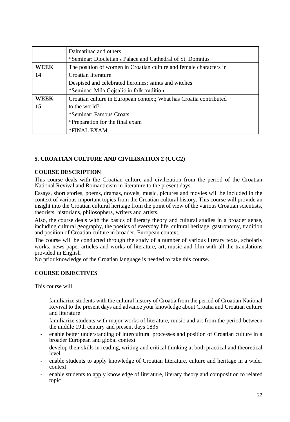|             | Dalmatinac and others                                              |
|-------------|--------------------------------------------------------------------|
|             | *Seminar: Diocletian's Palace and Cathedral of St. Domnius         |
| <b>WEEK</b> | The position of women in Croatian culture and female characters in |
| 14          | Croatian literature                                                |
|             | Despised and celebrated heroines; saints and witches               |
|             | *Seminar: Mila Gojsalić in folk tradition                          |
| <b>WEEK</b> | Croatian culture in European context; What has Croatia contributed |
| 15          | to the world?                                                      |
|             | *Seminar: Famous Croats                                            |
|             | *Preparation for the final exam                                    |
|             | *FINAL EXAM                                                        |

# **5. CROATIAN CULTURE AND CIVILISATION 2 (CCC2)**

#### **COURSE DESCRIPTION**

This course deals with the Croatian culture and civilization from the period of the Croatian National Revival and Romanticism in literature to the present days.

Essays, short stories, poems, dramas, novels, music, pictures and movies will be included in the context of various important topics from the Croatian cultural history. This course will provide an insight into the Croatian cultural heritage from the point of view of the various Croatian scientists, theorists, historians, philosophers, writers and artists.

Also, the course deals with the basics of literary theory and cultural studies in a broader sense, including cultural geography, the poetics of everyday life, cultural heritage, gastronomy, tradition and position of Croatian culture in broader, European context.

The course will be conducted through the study of a number of various literary texts, scholarly works, news-paper articles and works of literature, art, music and film with all the translations provided in English

No prior knowledge of the Croatian language is needed to take this course.

#### **COURSE OBJECTIVES**

This course will:

- familiarize students with the cultural history of Croatia from the period of Croatian National Revival to the present days and advance your knowledge about Croatia and Croatian culture and literature
- familiarize students with major works of literature, music and art from the period between the middle 19th century and present days 1835
- enable better understanding of intercultural processes and position of Croatian culture in a broader European and global context
- develop their skills in reading, writing and critical thinking at both practical and theoretical level
- enable students to apply knowledge of Croatian literature, culture and heritage in a wider context
- enable students to apply knowledge of literature, literary theory and composition to related topic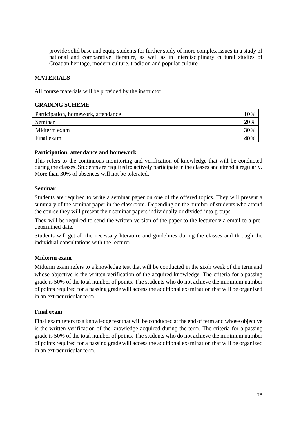provide solid base and equip students for further study of more complex issues in a study of national and comparative literature, as well as in interdisciplinary cultural studies of Croatian heritage, modern culture, tradition and popular culture

# **MATERIALS**

All course materials will be provided by the instructor.

#### **GRADING SCHEME**

| Participation, homework, attendance | 10% |
|-------------------------------------|-----|
| Seminar                             | 20% |
| Midterm exam                        | 30% |
| Final exam                          | 40% |
|                                     |     |

#### **Participation, attendance and homework**

This refers to the continuous monitoring and verification of knowledge that will be conducted during the classes. Students are required to actively participate in the classes and attend it regularly. More than 30% of absences will not be tolerated.

#### **Seminar**

Students are required to write a seminar paper on one of the offered topics. They will present a summary of the seminar paper in the classroom. Depending on the number of students who attend the course they will present their seminar papers individually or divided into groups.

They will be required to send the written version of the paper to the lecturer via email to a predetermined date.

Students will get all the necessary literature and guidelines during the classes and through the individual consultations with the lecturer.

# **Midterm exam**

Midterm exam refers to a knowledge test that will be conducted in the sixth week of the term and whose objective is the written verification of the acquired knowledge. The criteria for a passing grade is 50% of the total number of points. The students who do not achieve the minimum number of points required for a passing grade will access the additional examination that will be organized in an extracurricular term.

# **Final exam**

Final exam refers to a knowledge test that will be conducted at the end of term and whose objective is the written verification of the knowledge acquired during the term. The criteria for a passing grade is 50% of the total number of points. The students who do not achieve the minimum number of points required for a passing grade will access the additional examination that will be organized in an extracurricular term.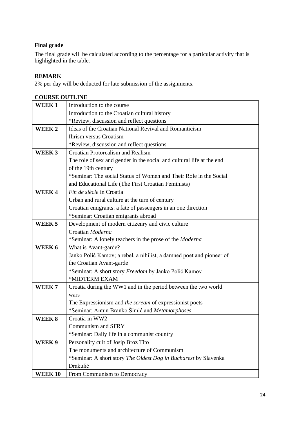# **Final grade**

The final grade will be calculated according to the percentage for a particular activity that is highlighted in the table.

# **REMARK**

2% per day will be deducted for late submission of the assignments.

| <b>COURSE OUTLINE</b> |                                                                       |
|-----------------------|-----------------------------------------------------------------------|
| WEEK <sub>1</sub>     | Introduction to the course                                            |
|                       | Introduction to the Croatian cultural history                         |
|                       | *Review, discussion and reflect questions                             |
| WEEK 2                | Ideas of the Croatian National Revival and Romanticism                |
|                       | Ilirism versus Croatism                                               |
|                       | *Review, discussion and reflect questions                             |
| WEEK <sub>3</sub>     | <b>Croatian Protorealism and Realism</b>                              |
|                       | The role of sex and gender in the social and cultural life at the end |
|                       | of the 19th century                                                   |
|                       | *Seminar: The social Status of Women and Their Role in the Social     |
|                       | and Educational Life (The First Croatian Feminists)                   |
| <b>WEEK4</b>          | Fin de siècle in Croatia                                              |
|                       | Urban and rural culture at the turn of century                        |
|                       | Croatian emigrants: a fate of passengers in an one direction          |
|                       | *Seminar: Croatian emigrants abroad                                   |
| WEEK <sub>5</sub>     | Development of modern citizenry and civic culture                     |
|                       | Croatian Moderna                                                      |
|                       | *Seminar: A lonely teachers in the prose of the <i>Moderna</i>        |
| WEEK 6                | What is Avant-garde?                                                  |
|                       | Janko Polić Kamov; a rebel, a nihilist, a damned poet and pioneer of  |
|                       | the Croatian Avant-garde                                              |
|                       | *Seminar: A short story Freedom by Janko Polić Kamov                  |
|                       | *MIDTERM EXAM                                                         |
| WEEK <sub>7</sub>     | Croatia during the WW1 and in the period between the two world        |
|                       | wars                                                                  |
|                       | The Expressionism and the scream of expressionist poets               |
|                       | *Seminar: Antun Branko Šimić and Metamorphoses                        |
| WEEK 8                | Croatia in WW2                                                        |
|                       | Communism and SFRY                                                    |
|                       | *Seminar: Daily life in a communist country                           |
| WEEK 9                | Personality cult of Josip Broz Tito                                   |
|                       | The monuments and architecture of Communism                           |
|                       | *Seminar: A short story The Oldest Dog in Bucharest by Slavenka       |
|                       | Drakulić                                                              |
| <b>WEEK 10</b>        | From Communism to Democracy                                           |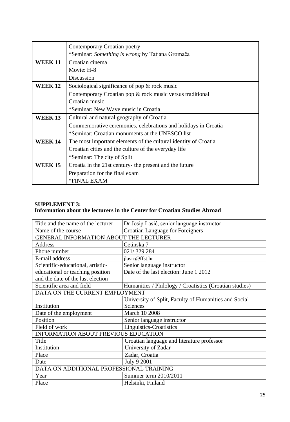|                | Contemporary Croatian poetry                                    |
|----------------|-----------------------------------------------------------------|
|                | *Seminar: Something is wrong by Tatjana Gromača                 |
| <b>WEEK 11</b> | Croatian cinema                                                 |
|                | Movie: H-8                                                      |
|                | Discussion                                                      |
| <b>WEEK 12</b> | Sociological significance of pop $\&$ rock music                |
|                | Contemporary Croatian pop & rock music versus traditional       |
|                | Croatian music                                                  |
|                | *Seminar: New Wave music in Croatia                             |
| <b>WEEK 13</b> | Cultural and natural geography of Croatia                       |
|                | Commemorative ceremonies, celebrations and holidays in Croatia  |
|                | *Seminar: Croatian monuments at the UNESCO list                 |
| <b>WEEK 14</b> | The most important elements of the cultural identity of Croatia |
|                | Croatian cities and the culture of the everyday life            |
|                | *Seminar: The city of Split                                     |
| <b>WEEK 15</b> | Croatia in the 21st century- the present and the future         |
|                | Preparation for the final exam                                  |
|                | *FINAL EXAM                                                     |

# **SUPPLEMENT 3: Information about the lecturers in the Center for Croatian Studies Abroad**

| Title and the name of the lecturer       | Dr Josip Lasić, senior language instructor              |
|------------------------------------------|---------------------------------------------------------|
| Name of the course                       | <b>Croatian Language for Foreigners</b>                 |
| GENERAL INFORMATION ABOUT THE LECTURER   |                                                         |
| Address                                  | Cetinska 7                                              |
| Phone number                             | 021/329 284                                             |
| E-mail address                           | jlasic@ffst.hr                                          |
| Scientific-educational, artistic-        | Senior language instructor                              |
| educational or teaching position         | Date of the last election: June 1 2012                  |
| and the date of the last election        |                                                         |
| Scientific area and field                | Humanities / Philology / Croatistics (Croatian studies) |
| DATA ON THE CURRENT EMPLOYMENT           |                                                         |
|                                          | University of Split, Faculty of Humanities and Social   |
| Institution                              | Sciences                                                |
| Date of the employment                   | March 10 2008                                           |
| Position                                 | Senior language instructor                              |
| Field of work                            | Linguistics-Croatistics                                 |
| INFORMATION ABOUT PREVIOUS EDUCATION     |                                                         |
| Title                                    | Croatian language and literature professor              |
| Institution                              | University of Zadar                                     |
| Place                                    | Zadar, Croatia                                          |
| Date                                     | July 9 2001                                             |
| DATA ON ADDITIONAL PROFESSIONAL TRAINING |                                                         |
| Year                                     | Summer term 2010/2011                                   |
| Place                                    | Helsinki, Finland                                       |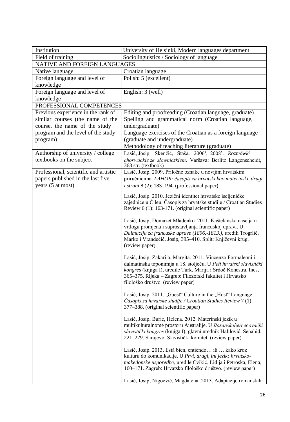| Institution                           | University of Helsinki, Modern languages department                                                                                                                                                                                                                                                     |
|---------------------------------------|---------------------------------------------------------------------------------------------------------------------------------------------------------------------------------------------------------------------------------------------------------------------------------------------------------|
| Field of training                     | Sociolinguistics / Sociology of language                                                                                                                                                                                                                                                                |
| NATIVE AND FOREIGN LANGUAGES          |                                                                                                                                                                                                                                                                                                         |
| Native language                       | Croatian language                                                                                                                                                                                                                                                                                       |
| Foreign language and level of         | Polish: 5 (excellent)                                                                                                                                                                                                                                                                                   |
| knowledge                             |                                                                                                                                                                                                                                                                                                         |
| Foreign language and level of         | English: 3 (well)                                                                                                                                                                                                                                                                                       |
| knowledge                             |                                                                                                                                                                                                                                                                                                         |
| PROFESSIONAL COMPETENCES              |                                                                                                                                                                                                                                                                                                         |
| Previous experience in the rank of    | Editing and proofreading (Croatian language, graduate)                                                                                                                                                                                                                                                  |
| similar courses (the name of the      | Spelling and grammatical norm (Croatian language,                                                                                                                                                                                                                                                       |
| course, the name of the study         | undergraduate)                                                                                                                                                                                                                                                                                          |
| program and the level of the study    | Language exercises of the Croatian as a foreign language                                                                                                                                                                                                                                                |
| program)                              | (graduate and undergraduate)                                                                                                                                                                                                                                                                            |
|                                       | Methodology of teaching literature (graduate)                                                                                                                                                                                                                                                           |
| Authorship of university / college    | Lasić, Josip; Skenžić, Staša. 2006 <sup>1</sup> , 2008 <sup>2</sup> . Rozmówki                                                                                                                                                                                                                          |
| textbooks on the subject              | chorwackie ze słowniczkiem. Varšava: Berlitz Langenscheidt,<br>363 str. (textbook)                                                                                                                                                                                                                      |
| Professional, scientific and artistic | Lasić, Josip. 2009. Priložne oznake u novijim hrvatskim                                                                                                                                                                                                                                                 |
| papers published in the last five     | priručnicima. LAHOR: časopis za hrvatski kao materinski, drugi                                                                                                                                                                                                                                          |
| years (5 at most)                     | $i$ strani 8 (2): 183–194. (professional paper)                                                                                                                                                                                                                                                         |
|                                       | Lasić, Josip. 2010. Jezični identitet htrvatske iseljeničke<br>zajednice u Čileu. Časopis za hrvatske studije / Croatian Studies<br>Review 6 (1): 163-171. (original scientific paper)                                                                                                                  |
|                                       | Lasić, Josip; Domazet Mladenko. 2011. Kaštelanska naselja u<br>vrtlogu promjena i suprostavljanja francuskoj upravi. U<br>Dalmacija za francuske uprave (1806.-1813.), uredili Trogrlić,<br>Marko i Vrandečić, Josip, 395-410. Split: Književni krug.<br>(review paper)                                 |
|                                       | Lasić, Josip; Zakarija, Margita. 2011. Vincenzo Formaleoni i<br>dalmatinska toponimija u 18. stoljeću. U Peti hrvatski slavistički<br>kongres (knjiga I), uredile Turk, Marija i Srdoč Konestra, Ines,<br>365-375. Rijeka - Zagreb: Filozofski fakultet i Hrvatsko<br>filološko društvo. (review paper) |
|                                       | Lasić, Josip. 2011. "Guest" Culture in the "Host" Language.<br><i>Casopis za hrvatske studije / Croatian Studies Review</i> 7 (1):<br>377–388. (original scientific paper)                                                                                                                              |
|                                       | Lasić, Josip; Burić, Helena. 2012. Materinski jezik u<br>multikulturalnome prostoru Australije. U Bosanskohercegovački<br>slavistički kongres (knjiga I), glavni urednik Halilović, Senahid,<br>221–229. Sarajevo: Slavistički komitet. (review paper)                                                  |
|                                       | Lasić, Josip. 2013. Está bien, entiendo ili  kako kroz<br>kulturu do komunikacije. U Prvi, drugi, ini jezik: hrvatsko-<br>makedonske usporedbe, uredile Cvikić, Lidija i Petroska, Elena,<br>160-171. Zagreb: Hrvatsko filološko društvo. (review paper)                                                |
|                                       | Lasić, Josip; Nigoević, Magdalena. 2013. Adaptacije romanskih                                                                                                                                                                                                                                           |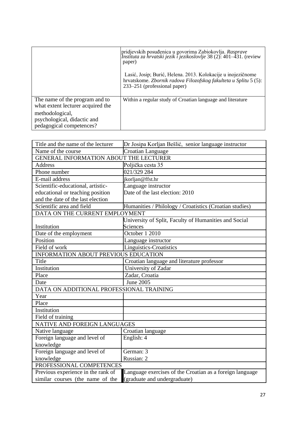|                                                                            | pridjevskih posuđenica u govorima Zabiokovlja. Rasprave<br>Instituta za hrvatski jezik i jezikoslovlje 38 (2): 401-431. (review<br>paper)                        |
|----------------------------------------------------------------------------|------------------------------------------------------------------------------------------------------------------------------------------------------------------|
|                                                                            | Lasić, Josip; Burić, Helena. 2013. Kolokacije u inojezičnome<br>hrvatskome. Zbornik radova Filozofskog fakulteta u Splitu 5 (5):<br>233–251 (professional paper) |
| The name of the program and to<br>what extent lecturer acquired the        | Within a regular study of Croatian language and literature                                                                                                       |
| methodological,<br>psychological, didactic and<br>pedagogical competences? |                                                                                                                                                                  |

| Title and the name of the lecturer       | Dr Josipa Korljan Bešlić, senior language instructor     |  |
|------------------------------------------|----------------------------------------------------------|--|
| Name of the course                       | Croatian Language                                        |  |
| GENERAL INFORMATION ABOUT THE LECTURER   |                                                          |  |
| <b>Address</b>                           | Poljička cesta 35                                        |  |
| Phone number                             | 021/329 284                                              |  |
| E-mail address                           | jkorljan@ffst.hr                                         |  |
| Scientific-educational, artistic-        | Language instructor                                      |  |
| educational or teaching position         | Date of the last election: 2010                          |  |
| and the date of the last election        |                                                          |  |
| Scientific area and field                | Humanities / Philology / Croatistics (Croatian studies)  |  |
| DATA ON THE CURRENT EMPLOYMENT           |                                                          |  |
|                                          | University of Split, Faculty of Humanities and Social    |  |
| Institution                              | Sciences                                                 |  |
| Date of the employment                   | October 1 2010                                           |  |
| Position                                 | Language instructor                                      |  |
| Field of work                            | Linguistics-Croatistics                                  |  |
|                                          | INFORMATION ABOUT PREVIOUS EDUCATION                     |  |
| Title                                    | Croatian language and literature professor               |  |
| Institution                              | University of Zadar                                      |  |
| Place                                    | Zadar, Croatia                                           |  |
| Date                                     | June 2005                                                |  |
| DATA ON ADDITIONAL PROFESSIONAL TRAINING |                                                          |  |
| Year                                     |                                                          |  |
| Place                                    |                                                          |  |
| Institution                              |                                                          |  |
| Field of training                        |                                                          |  |
| NATIVE AND FOREIGN LANGUAGES             |                                                          |  |
| Native language                          | Croatian language                                        |  |
| Foreign language and level of            | English: 4                                               |  |
| knowledge                                |                                                          |  |
| Foreign language and level of            | German: 3                                                |  |
| knowledge                                | Russian: 2                                               |  |
| PROFESSIONAL COMPETENCES                 |                                                          |  |
| Previous experience in the rank of       | Language exercises of the Croatian as a foreign language |  |
| similar courses (the name of the         | (graduate and undergraduate)                             |  |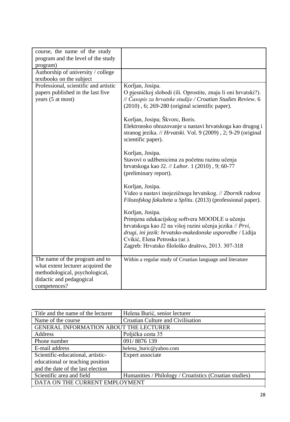| course, the name of the study<br>program and the level of the study                                                                               |                                                                                                                                                                                                                                                                                                                                                                                                |
|---------------------------------------------------------------------------------------------------------------------------------------------------|------------------------------------------------------------------------------------------------------------------------------------------------------------------------------------------------------------------------------------------------------------------------------------------------------------------------------------------------------------------------------------------------|
| program)                                                                                                                                          |                                                                                                                                                                                                                                                                                                                                                                                                |
| Authorship of university / college                                                                                                                |                                                                                                                                                                                                                                                                                                                                                                                                |
| textbooks on the subject                                                                                                                          |                                                                                                                                                                                                                                                                                                                                                                                                |
| Professional, scientific and artistic<br>papers published in the last five<br>years (5 at most)                                                   | Korljan, Josipa.<br>O pjesničkoj slobodi (ili. Oprostite, znaju li oni hrvatski?).<br>// Časopis za hrvatske studije / Croatian Studies Review. 6<br>$(2010)$ , 6; 269-280 (original scientific paper).<br>Korljan, Josipa; Škvorc, Boris.<br>Elektronsko obrazovanje u nastavi hrvatskoga kao drugog i<br>stranog jezika. // Hrvatski. Vol. 9 (2009), 2; 9-29 (original<br>scientific paper). |
|                                                                                                                                                   | Korljan, Josipa.<br>Stavovi o udžbenicima za početnu razinu učenja<br>hrvatskoga kao J2. // Lahor. 1 (2010), 9; 60-77<br>(preliminary report).                                                                                                                                                                                                                                                 |
|                                                                                                                                                   | Korljan, Josipa.<br>Video u nastavi inojezičnoga hrvatskog. // Zbornik radova<br>Filozofskog fakulteta u Splitu. (2013) (professional paper).                                                                                                                                                                                                                                                  |
|                                                                                                                                                   | Korljan, Josipa.<br>Primjena edukacijskog softvera MOODLE u učenju<br>hrvatskoga kao J2 na višoj razini učenja jezika // Prvi,<br>drugi, ini jezik: hrvatsko-makedonske usporedbe / Lidija<br>Cvikić, Elena Petroska (ur.).<br>Zagreb: Hrvatsko filološko društvo, 2013. 307-318                                                                                                               |
| The name of the program and to<br>what extent lecturer acquired the<br>methodological, psychological,<br>didactic and pedagogical<br>competences? | Within a regular study of Croatian language and literature                                                                                                                                                                                                                                                                                                                                     |

| Title and the name of the lecturer     | Helena Burić, senior lecturer                           |
|----------------------------------------|---------------------------------------------------------|
| Name of the course                     | Croatian Culture and Civilisation                       |
| GENERAL INFORMATION ABOUT THE LECTURER |                                                         |
| Address                                | Poljička cesta 35                                       |
| Phone number                           | 091/8876 139                                            |
| E-mail address                         | helena_buric@yahoo.com                                  |
| Scientific-educational, artistic-      | Expert associate                                        |
| educational or teaching position       |                                                         |
| and the date of the last election      |                                                         |
| Scientific area and field              | Humanities / Philology / Croatistics (Croatian studies) |
| DATA ON THE CURRENT EMPLOYMENT         |                                                         |
|                                        |                                                         |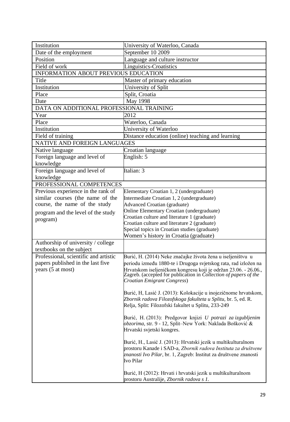| Institution                              | University of Waterloo, Canada                                                                                                      |
|------------------------------------------|-------------------------------------------------------------------------------------------------------------------------------------|
| Date of the employment                   | September 10 2009                                                                                                                   |
| Position                                 | Language and culture instructor                                                                                                     |
| Field of work                            | <b>Linguistics-Croatistics</b>                                                                                                      |
| INFORMATION ABOUT PREVIOUS EDUCATION     |                                                                                                                                     |
| Title                                    | Master of primary education                                                                                                         |
| Institution                              | University of Split                                                                                                                 |
| Place                                    | Split, Croatia                                                                                                                      |
| Date                                     | May 1998                                                                                                                            |
| DATA ON ADDITIONAL PROFESSIONAL TRAINING |                                                                                                                                     |
| Year                                     | 2012                                                                                                                                |
| Place                                    | Waterloo, Canada                                                                                                                    |
| Institution                              | University of Waterloo                                                                                                              |
| Field of training                        | Distance education (online) teaching and learning                                                                                   |
| <b>NATIVE AND FOREIGN LANGUAGES</b>      |                                                                                                                                     |
| Native language                          | Croatian language                                                                                                                   |
| Foreign language and level of            | English: 5                                                                                                                          |
| knowledge                                |                                                                                                                                     |
| Foreign language and level of            | Italian: 3                                                                                                                          |
| knowledge                                |                                                                                                                                     |
| PROFESSIONAL COMPETENCES                 |                                                                                                                                     |
| Previous experience in the rank of       | Elementary Croatian 1, 2 (undergraduate)                                                                                            |
| similar courses (the name of the         | Intermediate Croatian 1, 2 (undergraduate)                                                                                          |
| course, the name of the study            | <b>Advanced Croatian (graduate)</b>                                                                                                 |
| program and the level of the study       | Online Elementary Croatian (undergraduate)                                                                                          |
| program)                                 | Croatian culture and literature 1 (graduate)                                                                                        |
|                                          | Croatian culture and literature 2 (graduate)                                                                                        |
|                                          | Special topics in Croatian studies (graduate)                                                                                       |
|                                          | Women's history in Croatia (graduate)                                                                                               |
| Authorship of university / college       |                                                                                                                                     |
| textbooks on the subject                 |                                                                                                                                     |
| Professional, scientific and artistic    | Burić, H. (2014) Neke značajke života žena u iseljeništvu u                                                                         |
| papers published in the last five        | periodu između 1880-te i Drugoga svjetskog rata, rad izložen na                                                                     |
| years (5 at most)                        | Hrvatskom iseljeničkom kongresu koji je održan 23.06. - 26.06.,<br>Zagreb. (accepted for publication in Collection of papers of the |
|                                          | Croatian Emigrant Congress)                                                                                                         |
|                                          |                                                                                                                                     |
|                                          | Burić, H, Lasić J. (2013): Kolokacije u inojezičnome hrvatskom,                                                                     |
|                                          | Zbornik radova Filozofskoga fakulteta u Splitu, br. 5, ed. R.                                                                       |
|                                          | Relja, Split: Filozofski fakultet u Splitu, 233-249                                                                                 |
|                                          |                                                                                                                                     |
|                                          | Burić, H. (2013): Predgovor knjizi U potrazi za izgubljenim                                                                         |
|                                          | obzorima, str. 9 - 12, Split-New York: Naklada Bošković &<br>Hrvatski svjetski kongres.                                             |
|                                          |                                                                                                                                     |
|                                          | Burić, H., Lasić J. (2013): Hrvatski jezik u multikulturalnom                                                                       |
|                                          | prostoru Kanade i SAD-a, Zbornik radova Instituta za društvene                                                                      |
|                                          | znanosti Ivo Pilar, br. 1, Zagreb: Institut za društvene znanosti                                                                   |
|                                          | Ivo Pilar                                                                                                                           |
|                                          |                                                                                                                                     |
|                                          | Burić, H (2012): Hrvati i hrvatski jezik u multikulturalnom                                                                         |
|                                          | prostoru Australije, Zbornik radova s 1.                                                                                            |